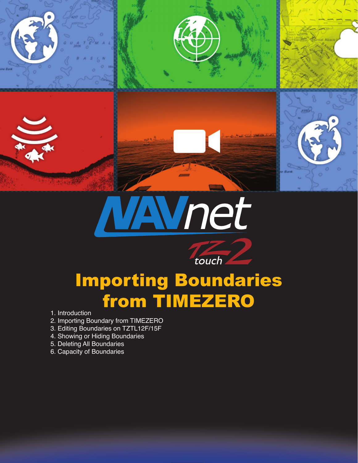





touch

- 1. Introduction
- 2. Importing Boundary from TIMEZERO
- 3. Editing Boundaries on TZTL12F/15F
- 4. Showing or Hiding Boundaries
- 5. Deleting All Boundaries
- 6. Capacity of Boundaries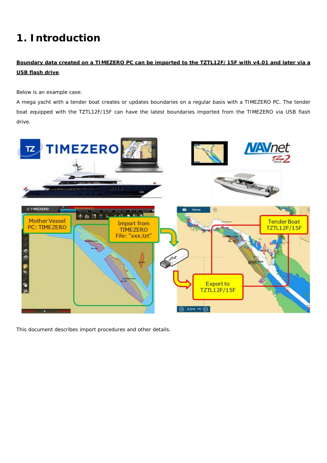# **1. Introduction**

#### **Boundary data created on a TIMEZERO PC can be imported to the TZTL12F/15F with v4.01 and later via a USB flash drive**.

Below is an example case:

A mega yacht with a tender boat creates or updates boundaries on a regular basis with a TIMEZERO PC. The tender boat equipped with the TZTL12F/15F can have the latest boundaries imported from the TIMEZERO via USB flash drive.



This document describes import procedures and other details.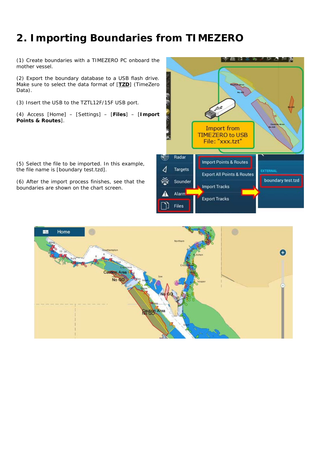## **2. Importing Boundaries from TIMEZERO**

(1) Create boundaries with a TIMEZERO PC onboard the mother vessel.

(2) Export the boundary database to a USB flash drive. Make sure to select the data format of [**TZD**] (TimeZero Data).

(3) Insert the USB to the TZTL12F/15F USB port.

(4) Access [Home] – [Settings] – [**Files**] – [**Import Points & Routes**].

(5) Select the file to be imported. In this example, the file name is [boundary test.tzd].

(6) After the import process finishes, see that the boundaries are shown on the chart screen.



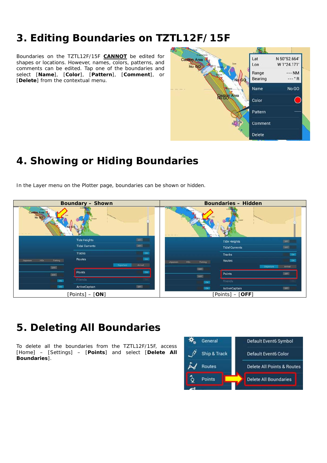### **3. Editing Boundaries on TZTL12F/15F**

Boundaries on the TZTL12F/15F **CANNOT** be edited for shapes or locations. However, names, colors, patterns, and comments can be edited. Tap one of the boundaries and select [**Name**], [**Color**], [**Pattern**], [**Comment**], or [**Delete**] from the contextual menu.

![](_page_3_Figure_2.jpeg)

## **4. Showing or Hiding Boundaries**

In the Layer menu on the Plotter page, boundaries can be shown or hidden.

![](_page_3_Picture_5.jpeg)

### **5. Deleting All Boundaries**

To delete all the boundaries from the TZTL12F/15F, access [Home] – [Settings] – [**Points**] and select [**Delete All Boundaries**].

![](_page_3_Figure_8.jpeg)